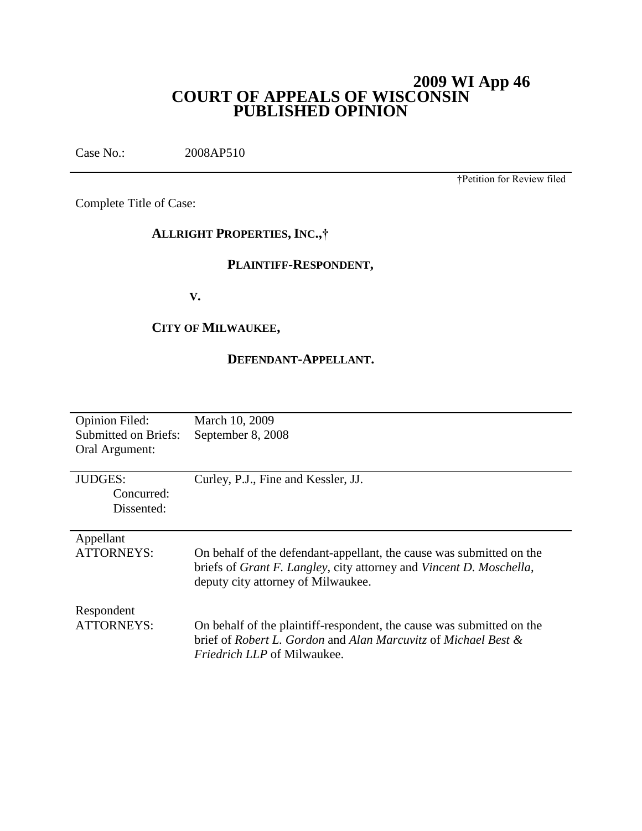# **2009 WI App 46 COURT OF APPEALS OF WISCONSIN PUBLISHED OPINION**

Case No.: 2008AP510

†Petition for Review filed

Complete Title of Case:

# **ALLRIGHT PROPERTIES, INC.,†**

# **PLAINTIFF-RESPONDENT,**

**V.**

# **CITY OF MILWAUKEE,**

# **DEFENDANT-APPELLANT.**

| <b>Opinion Filed:</b> | March 10, 2009                                                                      |
|-----------------------|-------------------------------------------------------------------------------------|
| Submitted on Briefs:  | September 8, 2008                                                                   |
|                       |                                                                                     |
| Oral Argument:        |                                                                                     |
|                       |                                                                                     |
| <b>JUDGES:</b>        | Curley, P.J., Fine and Kessler, JJ.                                                 |
| Concurred:            |                                                                                     |
|                       |                                                                                     |
| Dissented:            |                                                                                     |
|                       |                                                                                     |
| Appellant             |                                                                                     |
| ATTORNEYS:            | On behalf of the defendant-appellant, the cause was submitted on the                |
|                       |                                                                                     |
|                       | briefs of <i>Grant F. Langley</i> , city attorney and <i>Vincent D. Moschella</i> , |
|                       | deputy city attorney of Milwaukee.                                                  |
|                       |                                                                                     |
| Respondent            |                                                                                     |
| <b>ATTORNEYS:</b>     |                                                                                     |
|                       | On behalf of the plaintiff-respondent, the cause was submitted on the               |
|                       | brief of Robert L. Gordon and Alan Marcuvitz of Michael Best &                      |
|                       | <i>Friedrich LLP</i> of Milwaukee.                                                  |
|                       |                                                                                     |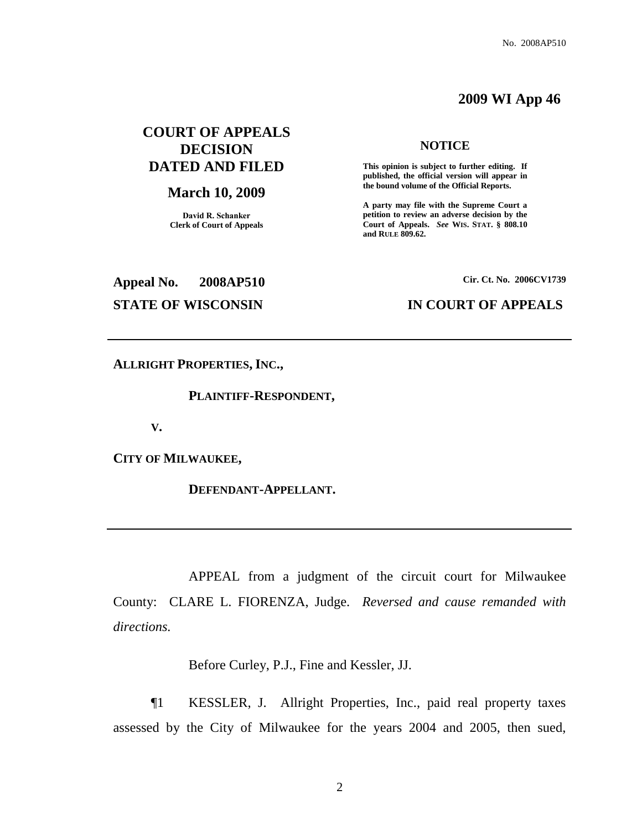# **2009 WI App 46**

# **COURT OF APPEALS DECISION DATED AND FILED**

## **March 10, 2009**

**David R. Schanker Clerk of Court of Appeals**

#### **NOTICE**

**This opinion is subject to further editing. If published, the official version will appear in the bound volume of the Official Reports.** 

**A party may file with the Supreme Court a petition to review an adverse decision by the Court of Appeals.** *See* **WIS. STAT. § 808.10 and RULE 809.62.** 

**Appeal No. 2008AP510 Cir. Ct. No. 2006CV1739**

## **STATE OF WISCONSIN IN COURT OF APPEALS**

**ALLRIGHT PROPERTIES, INC.,**

**PLAINTIFF-RESPONDENT,**

**V.**

**CITY OF MILWAUKEE,**

**DEFENDANT-APPELLANT.**

APPEAL from a judgment of the circuit court for Milwaukee County: CLARE L. FIORENZA, Judge. *Reversed and cause remanded with directions.*

Before Curley, P.J., Fine and Kessler, JJ.

¶1 KESSLER, J. Allright Properties, Inc., paid real property taxes assessed by the City of Milwaukee for the years 2004 and 2005, then sued,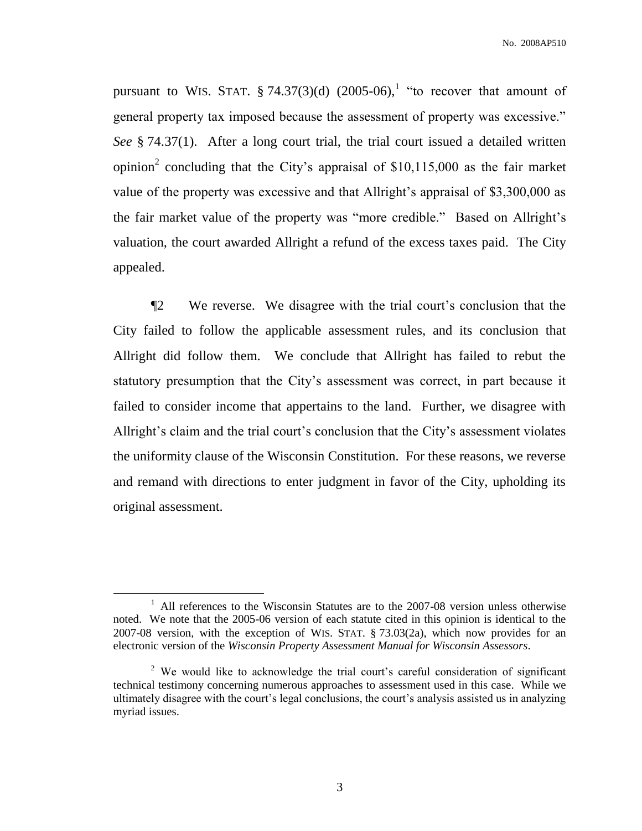pursuant to WIS. STAT.  $\S 74.37(3)(d)$  (2005-06),<sup>1</sup> "to recover that amount of general property tax imposed because the assessment of property was excessive." *See* § 74.37(1). After a long court trial, the trial court issued a detailed written opinion<sup>2</sup> concluding that the City's appraisal of \$10,115,000 as the fair market value of the property was excessive and that Allright's appraisal of \$3,300,000 as the fair market value of the property was "more credible." Based on Allright's valuation, the court awarded Allright a refund of the excess taxes paid. The City appealed.

¶2 We reverse. We disagree with the trial court's conclusion that the City failed to follow the applicable assessment rules, and its conclusion that Allright did follow them. We conclude that Allright has failed to rebut the statutory presumption that the City's assessment was correct, in part because it failed to consider income that appertains to the land. Further, we disagree with Allright's claim and the trial court's conclusion that the City's assessment violates the uniformity clause of the Wisconsin Constitution. For these reasons, we reverse and remand with directions to enter judgment in favor of the City, upholding its original assessment.

<sup>&</sup>lt;sup>1</sup> All references to the Wisconsin Statutes are to the 2007-08 version unless otherwise noted. We note that the 2005-06 version of each statute cited in this opinion is identical to the 2007-08 version, with the exception of WIS. STAT.  $\S$  73.03(2a), which now provides for an electronic version of the *Wisconsin Property Assessment Manual for Wisconsin Assessors*.

<sup>&</sup>lt;sup>2</sup> We would like to acknowledge the trial court's careful consideration of significant technical testimony concerning numerous approaches to assessment used in this case. While we ultimately disagree with the court's legal conclusions, the court's analysis assisted us in analyzing myriad issues.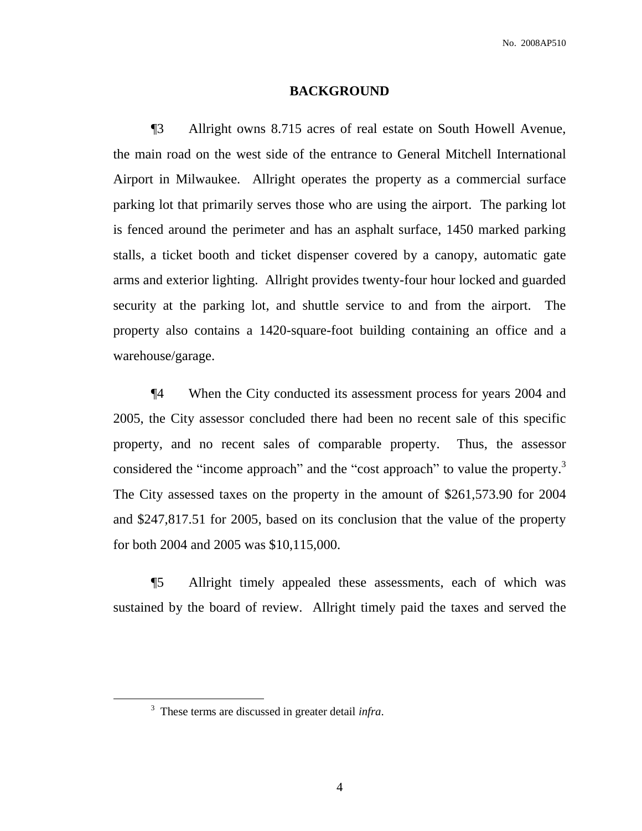#### **BACKGROUND**

¶3 Allright owns 8.715 acres of real estate on South Howell Avenue, the main road on the west side of the entrance to General Mitchell International Airport in Milwaukee. Allright operates the property as a commercial surface parking lot that primarily serves those who are using the airport. The parking lot is fenced around the perimeter and has an asphalt surface, 1450 marked parking stalls, a ticket booth and ticket dispenser covered by a canopy, automatic gate arms and exterior lighting. Allright provides twenty-four hour locked and guarded security at the parking lot, and shuttle service to and from the airport. The property also contains a 1420-square-foot building containing an office and a warehouse/garage.

¶4 When the City conducted its assessment process for years 2004 and 2005, the City assessor concluded there had been no recent sale of this specific property, and no recent sales of comparable property. Thus, the assessor considered the "income approach" and the "cost approach" to value the property.<sup>3</sup> The City assessed taxes on the property in the amount of \$261,573.90 for 2004 and \$247,817.51 for 2005, based on its conclusion that the value of the property for both 2004 and 2005 was \$10,115,000.

¶5 Allright timely appealed these assessments, each of which was sustained by the board of review. Allright timely paid the taxes and served the

<sup>3</sup> These terms are discussed in greater detail *infra*.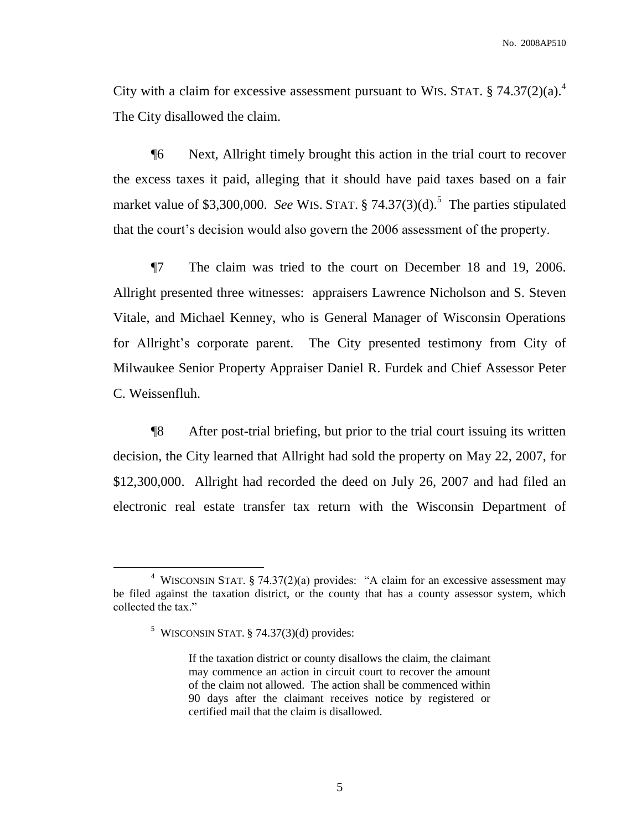City with a claim for excessive assessment pursuant to WIS. STAT.  $\S 74.37(2)(a)$ .<sup>4</sup> The City disallowed the claim.

¶6 Next, Allright timely brought this action in the trial court to recover the excess taxes it paid, alleging that it should have paid taxes based on a fair market value of \$3,300,000. *See* WIS. STAT.  $\S$  74.37(3)(d).<sup>5</sup> The parties stipulated that the court's decision would also govern the 2006 assessment of the property.

¶7 The claim was tried to the court on December 18 and 19, 2006. Allright presented three witnesses: appraisers Lawrence Nicholson and S. Steven Vitale, and Michael Kenney, who is General Manager of Wisconsin Operations for Allright's corporate parent. The City presented testimony from City of Milwaukee Senior Property Appraiser Daniel R. Furdek and Chief Assessor Peter C. Weissenfluh.

¶8 After post-trial briefing, but prior to the trial court issuing its written decision, the City learned that Allright had sold the property on May 22, 2007, for \$12,300,000. Allright had recorded the deed on July 26, 2007 and had filed an electronic real estate transfer tax return with the Wisconsin Department of

<sup>&</sup>lt;sup>4</sup> WISCONSIN STAT. § 74.37(2)(a) provides: "A claim for an excessive assessment may be filed against the taxation district, or the county that has a county assessor system, which collected the tax."

 $5$  WISCONSIN STAT. § 74.37(3)(d) provides:

If the taxation district or county disallows the claim, the claimant may commence an action in circuit court to recover the amount of the claim not allowed. The action shall be commenced within 90 days after the claimant receives notice by registered or certified mail that the claim is disallowed.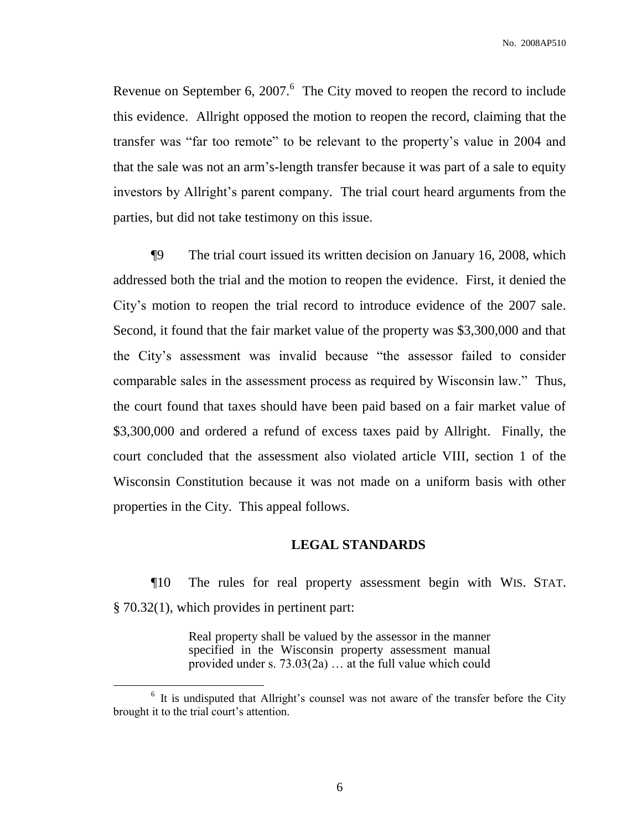Revenue on September 6, 2007. $6$  The City moved to reopen the record to include this evidence. Allright opposed the motion to reopen the record, claiming that the transfer was "far too remote" to be relevant to the property's value in 2004 and that the sale was not an arm's-length transfer because it was part of a sale to equity investors by Allright's parent company. The trial court heard arguments from the parties, but did not take testimony on this issue.

¶9 The trial court issued its written decision on January 16, 2008, which addressed both the trial and the motion to reopen the evidence. First, it denied the City's motion to reopen the trial record to introduce evidence of the 2007 sale. Second, it found that the fair market value of the property was \$3,300,000 and that the City's assessment was invalid because "the assessor failed to consider comparable sales in the assessment process as required by Wisconsin law." Thus, the court found that taxes should have been paid based on a fair market value of \$3,300,000 and ordered a refund of excess taxes paid by Allright. Finally, the court concluded that the assessment also violated article VIII, section 1 of the Wisconsin Constitution because it was not made on a uniform basis with other properties in the City. This appeal follows.

### **LEGAL STANDARDS**

¶10 The rules for real property assessment begin with WIS. STAT. § 70.32(1), which provides in pertinent part:

> Real property shall be valued by the assessor in the manner specified in the Wisconsin property assessment manual provided under s. 73.03(2a) … at the full value which could

 $\overline{a}$ 

<sup>&</sup>lt;sup>6</sup> It is undisputed that Allright's counsel was not aware of the transfer before the City brought it to the trial court's attention.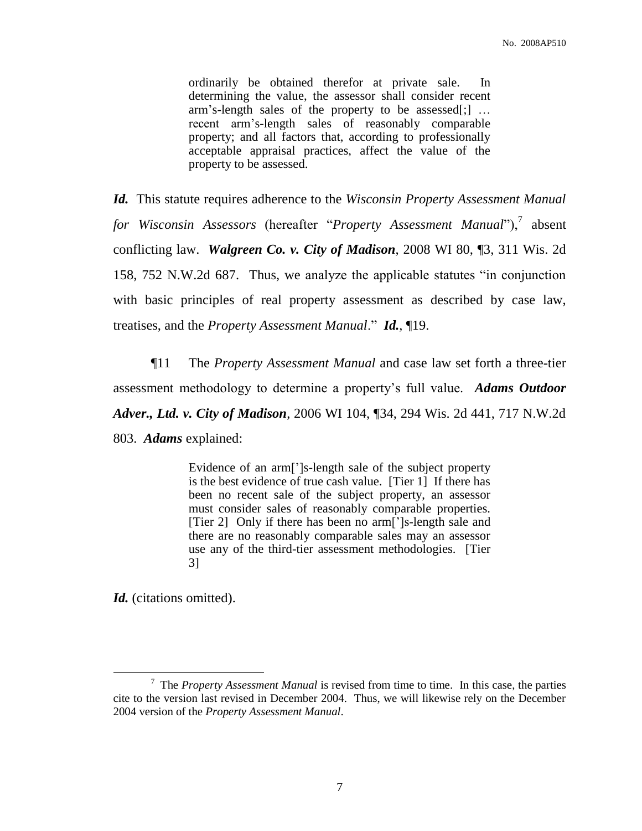ordinarily be obtained therefor at private sale. In determining the value, the assessor shall consider recent arm's-length sales of the property to be assessed[;] … recent arm's-length sales of reasonably comparable property; and all factors that, according to professionally acceptable appraisal practices, affect the value of the property to be assessed.

*Id.* This statute requires adherence to the *Wisconsin Property Assessment Manual*  for Wisconsin Assessors (hereafter "Property Assessment Manual"),<sup>7</sup> absent conflicting law. *Walgreen Co. v. City of Madison*, 2008 WI 80, ¶3, 311 Wis. 2d 158, 752 N.W.2d 687. Thus, we analyze the applicable statutes "in conjunction with basic principles of real property assessment as described by case law, treatises, and the *Property Assessment Manual*." *Id.*, ¶19.

¶11 The *Property Assessment Manual* and case law set forth a three-tier assessment methodology to determine a property's full value. *Adams Outdoor Adver., Ltd. v. City of Madison*, 2006 WI 104, ¶34, 294 Wis. 2d 441, 717 N.W.2d 803. *Adams* explained:

> Evidence of an arm[']s-length sale of the subject property is the best evidence of true cash value. [Tier 1] If there has been no recent sale of the subject property, an assessor must consider sales of reasonably comparable properties. [Tier 2] Only if there has been no arm[']s-length sale and there are no reasonably comparable sales may an assessor use any of the third-tier assessment methodologies. [Tier 3]

*Id.* (citations omitted).

<sup>7</sup> The *Property Assessment Manual* is revised from time to time. In this case, the parties cite to the version last revised in December 2004. Thus, we will likewise rely on the December 2004 version of the *Property Assessment Manual*.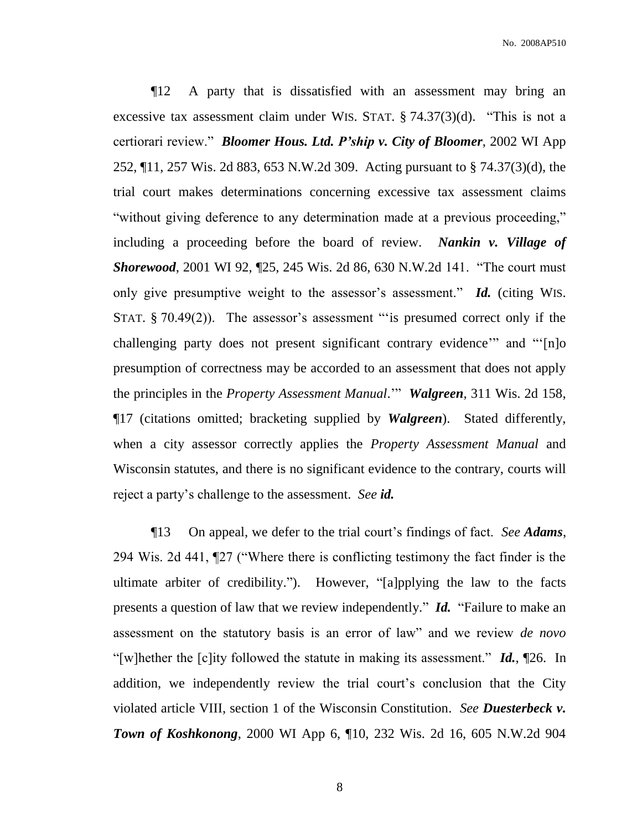¶12 A party that is dissatisfied with an assessment may bring an excessive tax assessment claim under WIS. STAT. § 74.37(3)(d). "This is not a certiorari review." *Bloomer Hous. Ltd. P'ship v. City of Bloomer*, 2002 WI App 252, ¶11, 257 Wis. 2d 883, 653 N.W.2d 309. Acting pursuant to § 74.37(3)(d), the trial court makes determinations concerning excessive tax assessment claims "without giving deference to any determination made at a previous proceeding," including a proceeding before the board of review. *Nankin v. Village of Shorewood*, 2001 WI 92, ¶25, 245 Wis. 2d 86, 630 N.W.2d 141. "The court must only give presumptive weight to the assessor's assessment." *Id.* (citing WIS. STAT. § 70.49(2)). The assessor's assessment ""is presumed correct only if the challenging party does not present significant contrary evidence'" and "'[n]o presumption of correctness may be accorded to an assessment that does not apply the principles in the *Property Assessment Manual*.'" *Walgreen*, 311 Wis. 2d 158, ¶17 (citations omitted; bracketing supplied by *Walgreen*). Stated differently, when a city assessor correctly applies the *Property Assessment Manual* and Wisconsin statutes, and there is no significant evidence to the contrary, courts will reject a party's challenge to the assessment. *See id.*

¶13 On appeal, we defer to the trial court's findings of fact. *See Adams*, 294 Wis. 2d 441, ¶27 ("Where there is conflicting testimony the fact finder is the ultimate arbiter of credibility."). However, "[a]pplying the law to the facts presents a question of law that we review independently." *Id.* "Failure to make an assessment on the statutory basis is an error of law" and we review *de novo* "[w]hether the [c]ity followed the statute in making its assessment." *Id.*, ¶26. In addition, we independently review the trial court's conclusion that the City violated article VIII, section 1 of the Wisconsin Constitution. *See Duesterbeck v. Town of Koshkonong*, 2000 WI App 6, ¶10, 232 Wis. 2d 16, 605 N.W.2d 904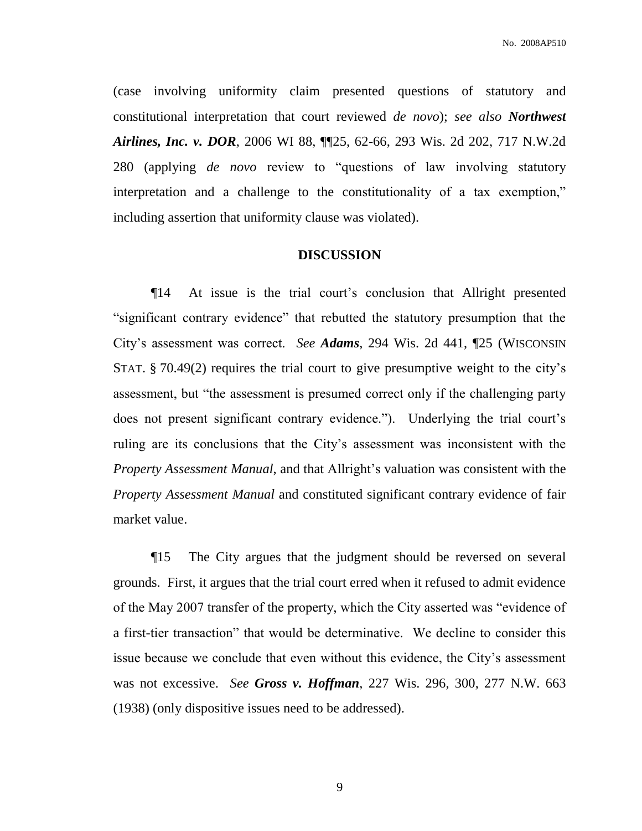(case involving uniformity claim presented questions of statutory and constitutional interpretation that court reviewed *de novo*); *see also Northwest Airlines, Inc. v. DOR*, 2006 WI 88, ¶¶25, 62-66, 293 Wis. 2d 202, 717 N.W.2d 280 (applying *de novo* review to "questions of law involving statutory interpretation and a challenge to the constitutionality of a tax exemption," including assertion that uniformity clause was violated).

#### **DISCUSSION**

¶14 At issue is the trial court's conclusion that Allright presented "significant contrary evidence" that rebutted the statutory presumption that the City's assessment was correct. *See Adams*, 294 Wis. 2d 441, ¶25 (WISCONSIN STAT. § 70.49(2) requires the trial court to give presumptive weight to the city's assessment, but "the assessment is presumed correct only if the challenging party does not present significant contrary evidence."). Underlying the trial court's ruling are its conclusions that the City's assessment was inconsistent with the *Property Assessment Manual*, and that Allright's valuation was consistent with the *Property Assessment Manual* and constituted significant contrary evidence of fair market value.

¶15 The City argues that the judgment should be reversed on several grounds. First, it argues that the trial court erred when it refused to admit evidence of the May 2007 transfer of the property, which the City asserted was "evidence of a first-tier transaction" that would be determinative. We decline to consider this issue because we conclude that even without this evidence, the City's assessment was not excessive. *See Gross v. Hoffman*, 227 Wis. 296, 300, 277 N.W. 663 (1938) (only dispositive issues need to be addressed).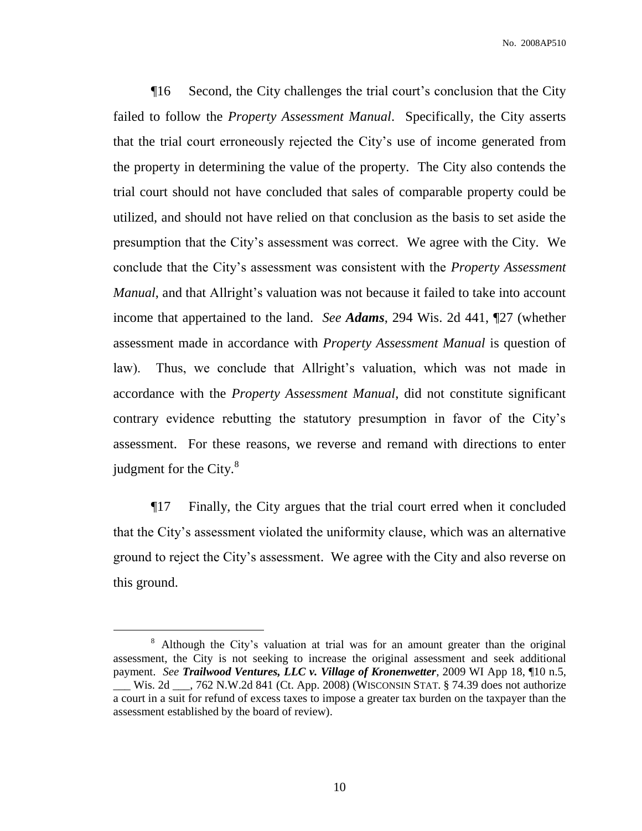¶16 Second, the City challenges the trial court's conclusion that the City failed to follow the *Property Assessment Manual*. Specifically, the City asserts that the trial court erroneously rejected the City's use of income generated from the property in determining the value of the property. The City also contends the trial court should not have concluded that sales of comparable property could be utilized, and should not have relied on that conclusion as the basis to set aside the presumption that the City's assessment was correct. We agree with the City. We conclude that the City's assessment was consistent with the *Property Assessment Manual*, and that Allright's valuation was not because it failed to take into account income that appertained to the land. *See Adams*, 294 Wis. 2d 441, ¶27 (whether assessment made in accordance with *Property Assessment Manual* is question of law). Thus, we conclude that Allright's valuation, which was not made in accordance with the *Property Assessment Manual*, did not constitute significant contrary evidence rebutting the statutory presumption in favor of the City's assessment. For these reasons, we reverse and remand with directions to enter judgment for the City. $8^8$ 

¶17 Finally, the City argues that the trial court erred when it concluded that the City's assessment violated the uniformity clause, which was an alternative ground to reject the City's assessment. We agree with the City and also reverse on this ground.

<sup>&</sup>lt;sup>8</sup> Although the City's valuation at trial was for an amount greater than the original assessment, the City is not seeking to increase the original assessment and seek additional payment. *See Trailwood Ventures, LLC v. Village of Kronenwetter*, 2009 WI App 18, ¶10 n.5, \_\_\_ Wis. 2d \_\_\_, 762 N.W.2d 841 (Ct. App. 2008) (WISCONSIN STAT. § 74.39 does not authorize a court in a suit for refund of excess taxes to impose a greater tax burden on the taxpayer than the assessment established by the board of review).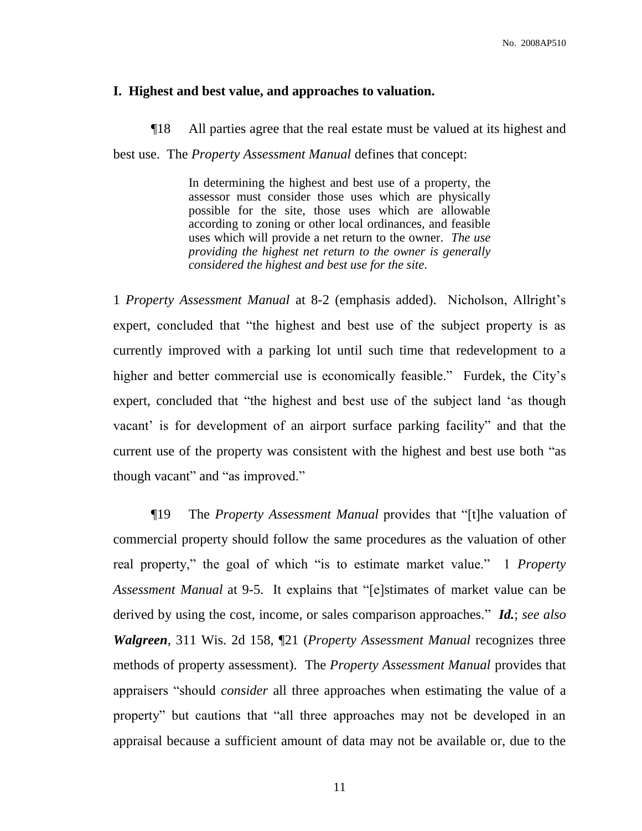### **I. Highest and best value, and approaches to valuation.**

¶18 All parties agree that the real estate must be valued at its highest and best use. The *Property Assessment Manual* defines that concept:

> In determining the highest and best use of a property, the assessor must consider those uses which are physically possible for the site, those uses which are allowable according to zoning or other local ordinances, and feasible uses which will provide a net return to the owner. *The use providing the highest net return to the owner is generally considered the highest and best use for the site*.

1 *Property Assessment Manual* at 8-2 (emphasis added). Nicholson, Allright's expert, concluded that "the highest and best use of the subject property is as currently improved with a parking lot until such time that redevelopment to a higher and better commercial use is economically feasible." Furdek, the City's expert, concluded that "the highest and best use of the subject land 'as though vacant' is for development of an airport surface parking facility" and that the current use of the property was consistent with the highest and best use both "as though vacant" and "as improved."

¶19 The *Property Assessment Manual* provides that "[t]he valuation of commercial property should follow the same procedures as the valuation of other real property," the goal of which "is to estimate market value." 1 *Property Assessment Manual* at 9-5. It explains that "[e]stimates of market value can be derived by using the cost, income, or sales comparison approaches." *Id.*; *see also Walgreen*, 311 Wis. 2d 158, ¶21 (*Property Assessment Manual* recognizes three methods of property assessment). The *Property Assessment Manual* provides that appraisers "should *consider* all three approaches when estimating the value of a property" but cautions that "all three approaches may not be developed in an appraisal because a sufficient amount of data may not be available or, due to the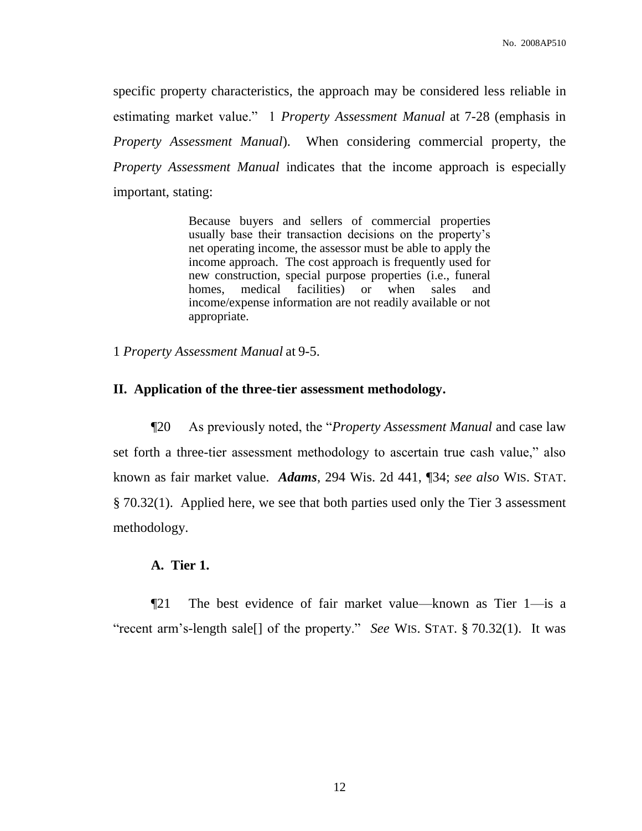specific property characteristics, the approach may be considered less reliable in estimating market value." 1 *Property Assessment Manual* at 7-28 (emphasis in *Property Assessment Manual*). When considering commercial property, the *Property Assessment Manual* indicates that the income approach is especially important, stating:

> Because buyers and sellers of commercial properties usually base their transaction decisions on the property's net operating income, the assessor must be able to apply the income approach. The cost approach is frequently used for new construction, special purpose properties (i.e., funeral homes, medical facilities) or when sales and income/expense information are not readily available or not appropriate.

1 *Property Assessment Manual* at 9-5.

## **II. Application of the three-tier assessment methodology.**

¶20 As previously noted, the "*Property Assessment Manual* and case law set forth a three-tier assessment methodology to ascertain true cash value," also known as fair market value. *Adams*, 294 Wis. 2d 441, ¶34; *see also* WIS. STAT. § 70.32(1). Applied here, we see that both parties used only the Tier 3 assessment methodology.

# **A. Tier 1.**

¶21 The best evidence of fair market value—known as Tier 1—is a "recent arm's-length sale[] of the property." *See* WIS. STAT. § 70.32(1). It was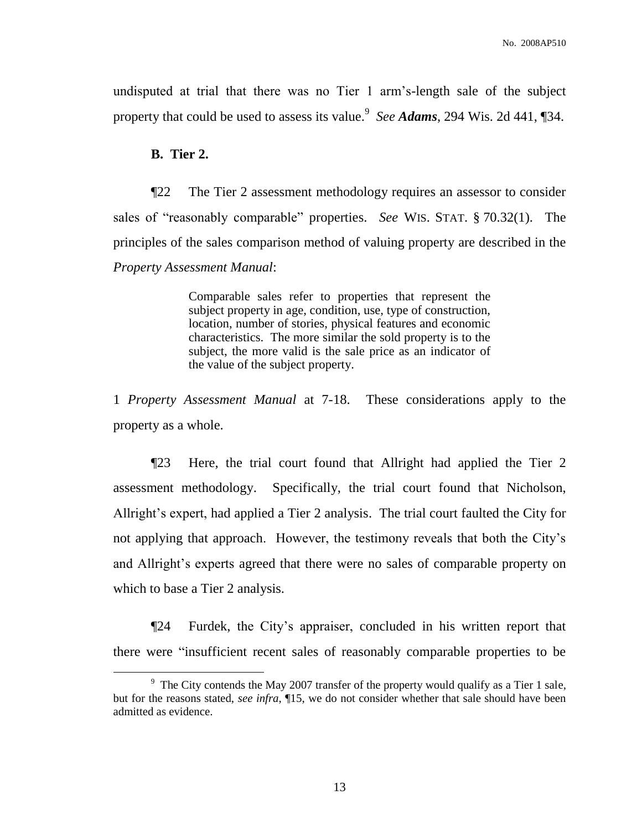undisputed at trial that there was no Tier 1 arm's-length sale of the subject property that could be used to assess its value.<sup>9</sup> *See Adams*, 294 Wis. 2d 441, ¶34.

### **B. Tier 2.**

 $\overline{a}$ 

¶22 The Tier 2 assessment methodology requires an assessor to consider sales of "reasonably comparable" properties. *See* WIS. STAT. § 70.32(1). The principles of the sales comparison method of valuing property are described in the *Property Assessment Manual*:

> Comparable sales refer to properties that represent the subject property in age, condition, use, type of construction, location, number of stories, physical features and economic characteristics. The more similar the sold property is to the subject, the more valid is the sale price as an indicator of the value of the subject property.

1 *Property Assessment Manual* at 7-18. These considerations apply to the property as a whole.

¶23 Here, the trial court found that Allright had applied the Tier 2 assessment methodology. Specifically, the trial court found that Nicholson, Allright's expert, had applied a Tier 2 analysis. The trial court faulted the City for not applying that approach. However, the testimony reveals that both the City's and Allright's experts agreed that there were no sales of comparable property on which to base a Tier 2 analysis.

¶24 Furdek, the City's appraiser, concluded in his written report that there were "insufficient recent sales of reasonably comparable properties to be

<sup>&</sup>lt;sup>9</sup> The City contends the May 2007 transfer of the property would qualify as a Tier 1 sale, but for the reasons stated, *see infra*, ¶15, we do not consider whether that sale should have been admitted as evidence.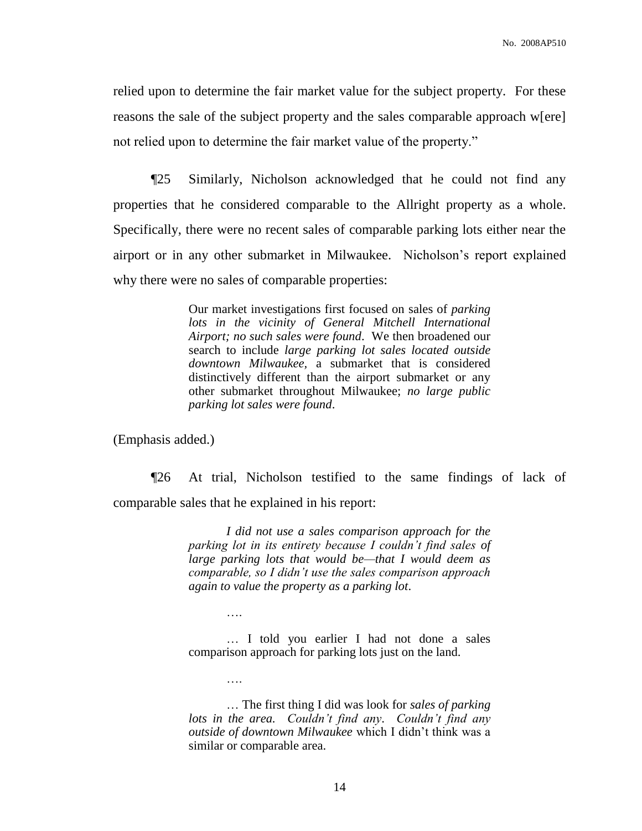relied upon to determine the fair market value for the subject property. For these reasons the sale of the subject property and the sales comparable approach w[ere] not relied upon to determine the fair market value of the property."

¶25 Similarly, Nicholson acknowledged that he could not find any properties that he considered comparable to the Allright property as a whole. Specifically, there were no recent sales of comparable parking lots either near the airport or in any other submarket in Milwaukee. Nicholson's report explained why there were no sales of comparable properties:

> Our market investigations first focused on sales of *parking lots in the vicinity of General Mitchell International Airport; no such sales were found*. We then broadened our search to include *large parking lot sales located outside downtown Milwaukee,* a submarket that is considered distinctively different than the airport submarket or any other submarket throughout Milwaukee; *no large public parking lot sales were found*.

(Emphasis added.)

….

¶26 At trial, Nicholson testified to the same findings of lack of comparable sales that he explained in his report:

> *I did not use a sales comparison approach for the parking lot in its entirety because I couldn't find sales of large parking lots that would be—that I would deem as comparable, so I didn't use the sales comparison approach again to value the property as a parking lot*.

> … I told you earlier I had not done a sales comparison approach for parking lots just on the land.

> … The first thing I did was look for *sales of parking lots in the area. Couldn't find any*. *Couldn't find any outside of downtown Milwaukee* which I didn't think was a similar or comparable area.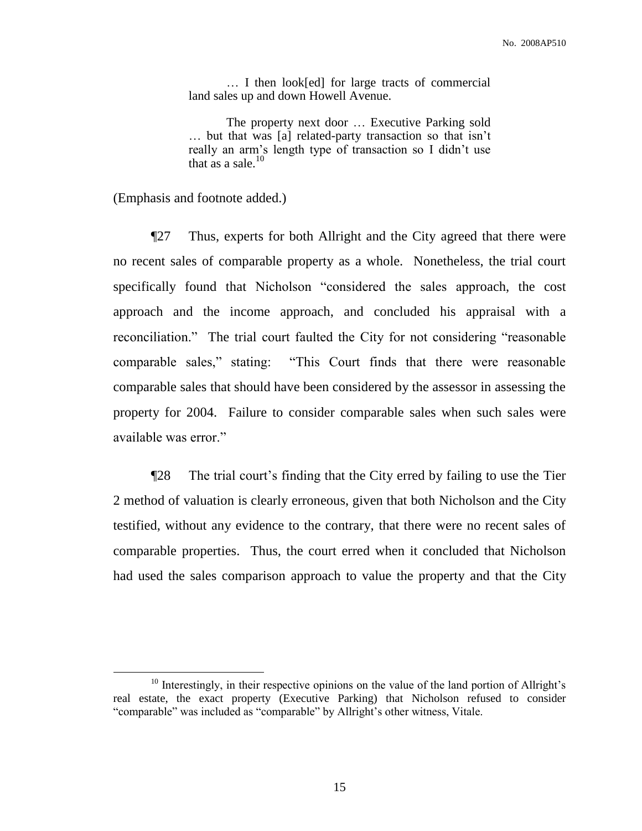… I then look[ed] for large tracts of commercial land sales up and down Howell Avenue.

The property next door … Executive Parking sold … but that was [a] related-party transaction so that isn't really an arm's length type of transaction so I didn't use that as a sale. $10$ 

(Emphasis and footnote added.)

 $\overline{a}$ 

¶27 Thus, experts for both Allright and the City agreed that there were no recent sales of comparable property as a whole. Nonetheless, the trial court specifically found that Nicholson "considered the sales approach, the cost approach and the income approach, and concluded his appraisal with a reconciliation." The trial court faulted the City for not considering "reasonable comparable sales," stating: "This Court finds that there were reasonable comparable sales that should have been considered by the assessor in assessing the property for 2004. Failure to consider comparable sales when such sales were available was error."

¶28 The trial court's finding that the City erred by failing to use the Tier 2 method of valuation is clearly erroneous, given that both Nicholson and the City testified, without any evidence to the contrary, that there were no recent sales of comparable properties. Thus, the court erred when it concluded that Nicholson had used the sales comparison approach to value the property and that the City

 $10$  Interestingly, in their respective opinions on the value of the land portion of Allright's real estate, the exact property (Executive Parking) that Nicholson refused to consider "comparable" was included as "comparable" by Allright's other witness, Vitale.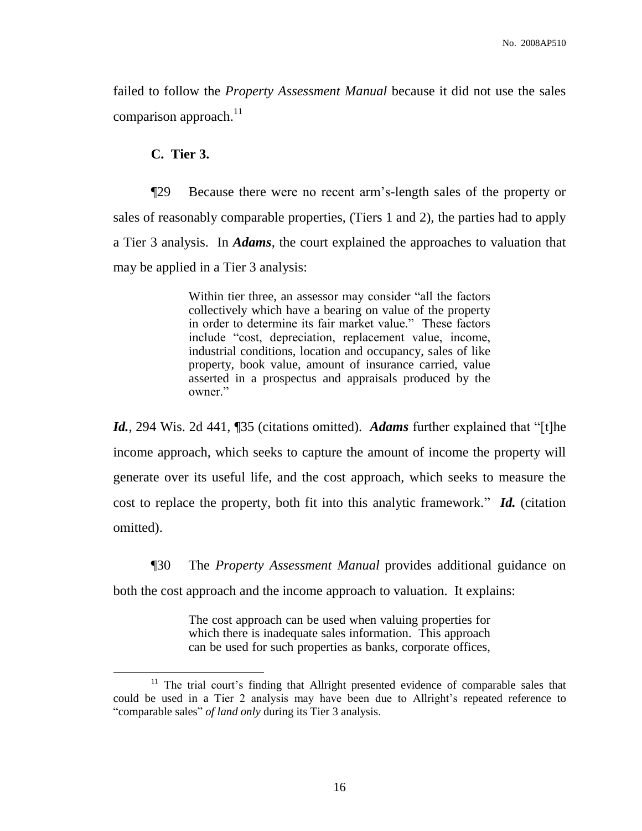failed to follow the *Property Assessment Manual* because it did not use the sales comparison approach.<sup>11</sup>

## **C. Tier 3.**

 $\overline{a}$ 

¶29 Because there were no recent arm's-length sales of the property or sales of reasonably comparable properties, (Tiers 1 and 2), the parties had to apply a Tier 3 analysis. In *Adams*, the court explained the approaches to valuation that may be applied in a Tier 3 analysis:

> Within tier three, an assessor may consider "all the factors collectively which have a bearing on value of the property in order to determine its fair market value." These factors include "cost, depreciation, replacement value, income, industrial conditions, location and occupancy, sales of like property, book value, amount of insurance carried, value asserted in a prospectus and appraisals produced by the owner."

*Id.*, 294 Wis. 2d 441, ¶35 (citations omitted). *Adams* further explained that "[t]he income approach, which seeks to capture the amount of income the property will generate over its useful life, and the cost approach, which seeks to measure the cost to replace the property, both fit into this analytic framework." *Id.* (citation omitted).

¶30 The *Property Assessment Manual* provides additional guidance on both the cost approach and the income approach to valuation. It explains:

> The cost approach can be used when valuing properties for which there is inadequate sales information. This approach can be used for such properties as banks, corporate offices,

<sup>&</sup>lt;sup>11</sup> The trial court's finding that Allright presented evidence of comparable sales that could be used in a Tier 2 analysis may have been due to Allright's repeated reference to "comparable sales" *of land only* during its Tier 3 analysis.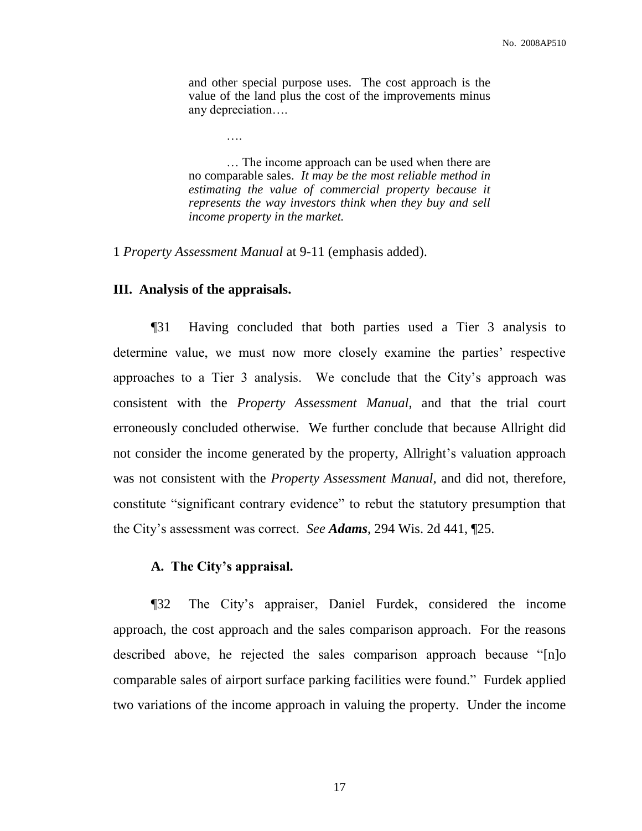and other special purpose uses. The cost approach is the value of the land plus the cost of the improvements minus any depreciation….

… The income approach can be used when there are no comparable sales. *It may be the most reliable method in estimating the value of commercial property because it represents the way investors think when they buy and sell income property in the market.*

1 *Property Assessment Manual* at 9-11 (emphasis added).

….

# **III. Analysis of the appraisals.**

¶31 Having concluded that both parties used a Tier 3 analysis to determine value, we must now more closely examine the parties' respective approaches to a Tier 3 analysis. We conclude that the City's approach was consistent with the *Property Assessment Manual*, and that the trial court erroneously concluded otherwise. We further conclude that because Allright did not consider the income generated by the property, Allright's valuation approach was not consistent with the *Property Assessment Manual*, and did not, therefore, constitute "significant contrary evidence" to rebut the statutory presumption that the City's assessment was correct. *See Adams*, 294 Wis. 2d 441, ¶25.

## **A. The City's appraisal.**

¶32 The City's appraiser, Daniel Furdek, considered the income approach, the cost approach and the sales comparison approach. For the reasons described above, he rejected the sales comparison approach because "[n]o comparable sales of airport surface parking facilities were found." Furdek applied two variations of the income approach in valuing the property. Under the income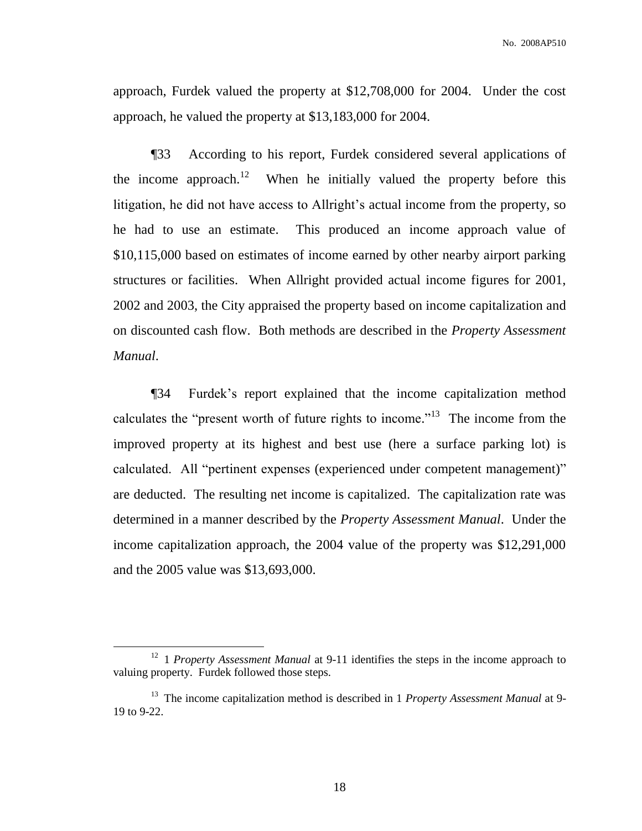approach, Furdek valued the property at \$12,708,000 for 2004. Under the cost approach, he valued the property at \$13,183,000 for 2004.

¶33 According to his report, Furdek considered several applications of the income approach.<sup>12</sup> When he initially valued the property before this litigation, he did not have access to Allright's actual income from the property, so he had to use an estimate. This produced an income approach value of \$10,115,000 based on estimates of income earned by other nearby airport parking structures or facilities. When Allright provided actual income figures for 2001, 2002 and 2003, the City appraised the property based on income capitalization and on discounted cash flow. Both methods are described in the *Property Assessment Manual*.

¶34 Furdek's report explained that the income capitalization method calculates the "present worth of future rights to income."<sup>13</sup> The income from the improved property at its highest and best use (here a surface parking lot) is calculated. All "pertinent expenses (experienced under competent management)" are deducted. The resulting net income is capitalized. The capitalization rate was determined in a manner described by the *Property Assessment Manual*. Under the income capitalization approach, the 2004 value of the property was \$12,291,000 and the 2005 value was \$13,693,000.

<sup>&</sup>lt;sup>12</sup> 1 *Property Assessment Manual* at 9-11 identifies the steps in the income approach to valuing property. Furdek followed those steps.

<sup>&</sup>lt;sup>13</sup> The income capitalization method is described in 1 *Property Assessment Manual* at 9-19 to 9-22.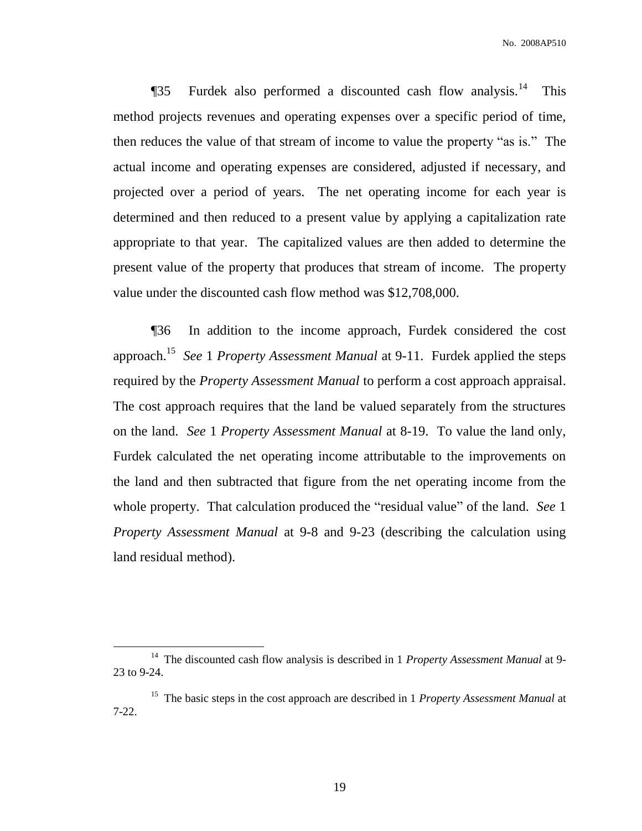**The Term** This Terms and Separated Cash flow analysis.<sup>14</sup> This method projects revenues and operating expenses over a specific period of time, then reduces the value of that stream of income to value the property "as is." The actual income and operating expenses are considered, adjusted if necessary, and projected over a period of years. The net operating income for each year is determined and then reduced to a present value by applying a capitalization rate appropriate to that year. The capitalized values are then added to determine the present value of the property that produces that stream of income. The property value under the discounted cash flow method was \$12,708,000.

¶36 In addition to the income approach, Furdek considered the cost approach. <sup>15</sup> *See* 1 *Property Assessment Manual* at 9-11. Furdek applied the steps required by the *Property Assessment Manual* to perform a cost approach appraisal. The cost approach requires that the land be valued separately from the structures on the land. *See* 1 *Property Assessment Manual* at 8-19. To value the land only, Furdek calculated the net operating income attributable to the improvements on the land and then subtracted that figure from the net operating income from the whole property. That calculation produced the "residual value" of the land. *See* 1 *Property Assessment Manual* at 9-8 and 9-23 (describing the calculation using land residual method).

<sup>&</sup>lt;sup>14</sup> The discounted cash flow analysis is described in 1 *Property Assessment Manual* at 9-23 to 9-24.

<sup>&</sup>lt;sup>15</sup> The basic steps in the cost approach are described in 1 *Property Assessment Manual* at 7-22.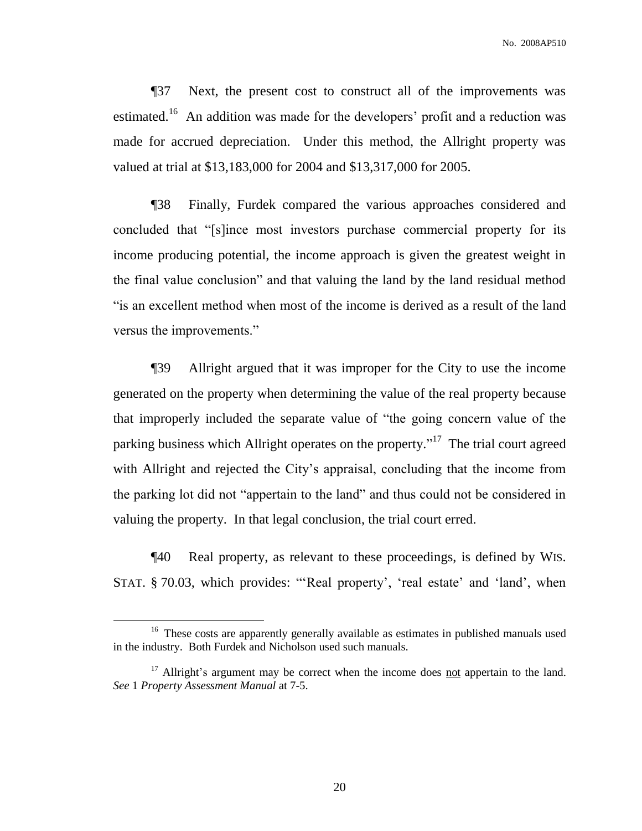No. 2008AP510

¶37 Next, the present cost to construct all of the improvements was estimated.<sup>16</sup> An addition was made for the developers' profit and a reduction was made for accrued depreciation. Under this method, the Allright property was valued at trial at \$13,183,000 for 2004 and \$13,317,000 for 2005.

¶38 Finally, Furdek compared the various approaches considered and concluded that "[s]ince most investors purchase commercial property for its income producing potential, the income approach is given the greatest weight in the final value conclusion" and that valuing the land by the land residual method "is an excellent method when most of the income is derived as a result of the land versus the improvements."

¶39 Allright argued that it was improper for the City to use the income generated on the property when determining the value of the real property because that improperly included the separate value of "the going concern value of the parking business which Allright operates on the property."<sup>17</sup> The trial court agreed with Allright and rejected the City's appraisal, concluding that the income from the parking lot did not "appertain to the land" and thus could not be considered in valuing the property. In that legal conclusion, the trial court erred.

¶40 Real property, as relevant to these proceedings, is defined by WIS. STAT. § 70.03, which provides: "'Real property', 'real estate' and 'land', when

<sup>&</sup>lt;sup>16</sup> These costs are apparently generally available as estimates in published manuals used in the industry. Both Furdek and Nicholson used such manuals.

 $17$  Allright's argument may be correct when the income does not appertain to the land. *See* 1 *Property Assessment Manual* at 7-5.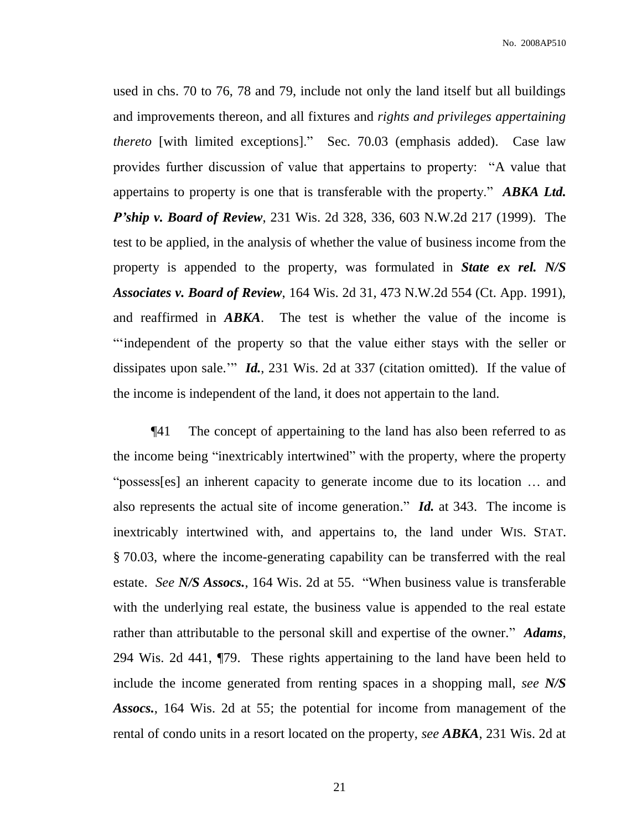used in chs. 70 to 76, 78 and 79, include not only the land itself but all buildings and improvements thereon, and all fixtures and *rights and privileges appertaining thereto* [with limited exceptions]." Sec. 70.03 (emphasis added). Case law provides further discussion of value that appertains to property: "A value that appertains to property is one that is transferable with the property." *ABKA Ltd. P'ship v. Board of Review*, 231 Wis. 2d 328, 336, 603 N.W.2d 217 (1999). The test to be applied, in the analysis of whether the value of business income from the property is appended to the property, was formulated in *State ex rel. N/S Associates v. Board of Review*, 164 Wis. 2d 31, 473 N.W.2d 554 (Ct. App. 1991), and reaffirmed in *ABKA*. The test is whether the value of the income is "'independent of the property so that the value either stays with the seller or dissipates upon sale.'" *Id.*, 231 Wis. 2d at 337 (citation omitted). If the value of the income is independent of the land, it does not appertain to the land.

¶41 The concept of appertaining to the land has also been referred to as the income being "inextricably intertwined" with the property, where the property "possess[es] an inherent capacity to generate income due to its location … and also represents the actual site of income generation." *Id.* at 343. The income is inextricably intertwined with, and appertains to, the land under WIS. STAT. § 70.03, where the income-generating capability can be transferred with the real estate. *See N/S Assocs.*, 164 Wis. 2d at 55. "When business value is transferable with the underlying real estate, the business value is appended to the real estate rather than attributable to the personal skill and expertise of the owner." *Adams*, 294 Wis. 2d 441, ¶79. These rights appertaining to the land have been held to include the income generated from renting spaces in a shopping mall, *see N/S Assocs.*, 164 Wis. 2d at 55; the potential for income from management of the rental of condo units in a resort located on the property, *see ABKA*, 231 Wis. 2d at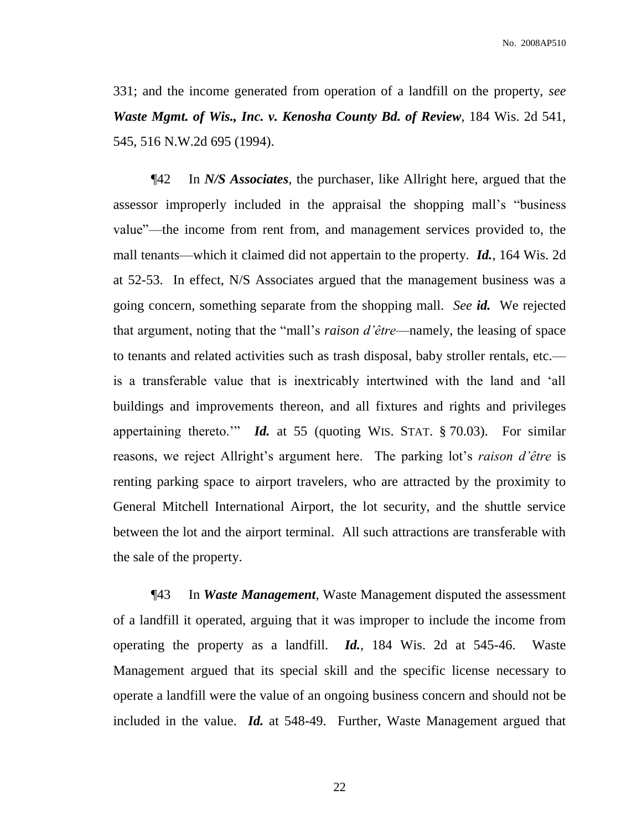331; and the income generated from operation of a landfill on the property, *see Waste Mgmt. of Wis., Inc. v. Kenosha County Bd. of Review*, 184 Wis. 2d 541, 545, 516 N.W.2d 695 (1994).

¶42 In *N/S Associates*, the purchaser, like Allright here, argued that the assessor improperly included in the appraisal the shopping mall's "business value"—the income from rent from, and management services provided to, the mall tenants—which it claimed did not appertain to the property. *Id.*, 164 Wis. 2d at 52-53. In effect, N/S Associates argued that the management business was a going concern, something separate from the shopping mall. *See id.* We rejected that argument, noting that the "mall's *raison d'être*—namely, the leasing of space to tenants and related activities such as trash disposal, baby stroller rentals, etc. is a transferable value that is inextricably intertwined with the land and 'all buildings and improvements thereon, and all fixtures and rights and privileges appertaining thereto.'" *Id.* at 55 (quoting WIS. STAT. § 70.03). For similar reasons, we reject Allright's argument here. The parking lot's *raison d'être* is renting parking space to airport travelers, who are attracted by the proximity to General Mitchell International Airport, the lot security, and the shuttle service between the lot and the airport terminal. All such attractions are transferable with the sale of the property.

¶43 In *Waste Management*, Waste Management disputed the assessment of a landfill it operated, arguing that it was improper to include the income from operating the property as a landfill. *Id.*, 184 Wis. 2d at 545-46. Waste Management argued that its special skill and the specific license necessary to operate a landfill were the value of an ongoing business concern and should not be included in the value. *Id.* at 548-49. Further, Waste Management argued that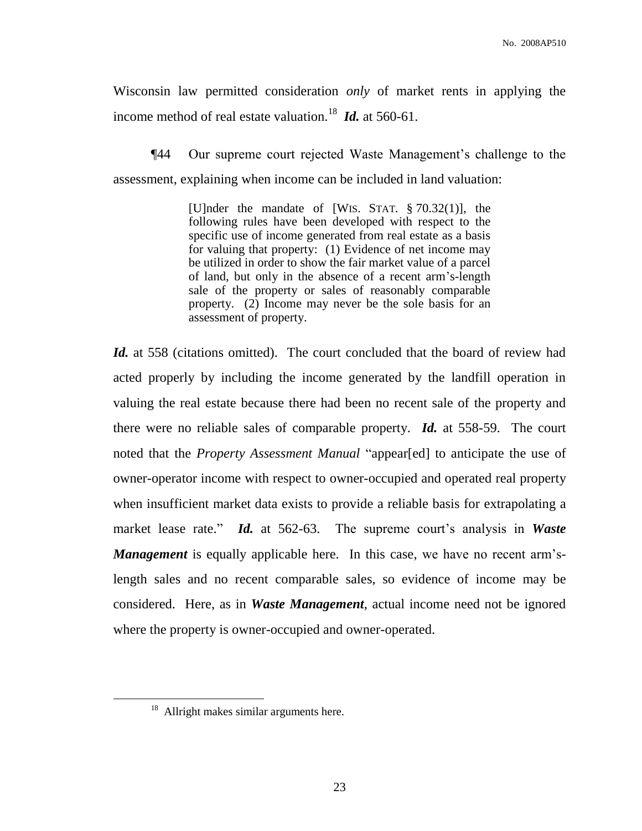Wisconsin law permitted consideration *only* of market rents in applying the income method of real estate valuation.<sup>18</sup> *Id.* at 560-61.

¶44 Our supreme court rejected Waste Management's challenge to the assessment, explaining when income can be included in land valuation:

> [U]nder the mandate of [WIS. STAT. § 70.32(1)], the following rules have been developed with respect to the specific use of income generated from real estate as a basis for valuing that property: (1) Evidence of net income may be utilized in order to show the fair market value of a parcel of land, but only in the absence of a recent arm's-length sale of the property or sales of reasonably comparable property. (2) Income may never be the sole basis for an assessment of property.

*Id.* at 558 (citations omitted). The court concluded that the board of review had acted properly by including the income generated by the landfill operation in valuing the real estate because there had been no recent sale of the property and there were no reliable sales of comparable property. *Id.* at 558-59. The court noted that the *Property Assessment Manual* "appear[ed] to anticipate the use of owner-operator income with respect to owner-occupied and operated real property when insufficient market data exists to provide a reliable basis for extrapolating a market lease rate." *Id.* at 562-63. The supreme court's analysis in *Waste Management* is equally applicable here. In this case, we have no recent arm'slength sales and no recent comparable sales, so evidence of income may be considered. Here, as in *Waste Management*, actual income need not be ignored where the property is owner-occupied and owner-operated.

 $18$  Allright makes similar arguments here.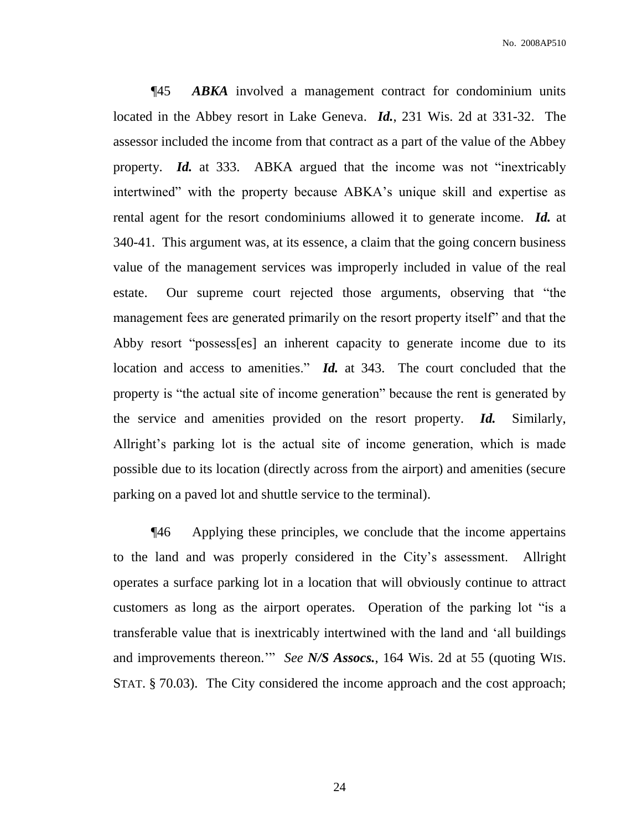¶45 *ABKA* involved a management contract for condominium units located in the Abbey resort in Lake Geneva. *Id.*, 231 Wis. 2d at 331-32. The assessor included the income from that contract as a part of the value of the Abbey property. *Id.* at 333. ABKA argued that the income was not "inextricably intertwined" with the property because ABKA's unique skill and expertise as rental agent for the resort condominiums allowed it to generate income. *Id.* at 340-41. This argument was, at its essence, a claim that the going concern business value of the management services was improperly included in value of the real estate. Our supreme court rejected those arguments, observing that "the management fees are generated primarily on the resort property itself" and that the Abby resort "possess[es] an inherent capacity to generate income due to its location and access to amenities." *Id.* at 343. The court concluded that the property is "the actual site of income generation" because the rent is generated by the service and amenities provided on the resort property. *Id.* Similarly, Allright's parking lot is the actual site of income generation, which is made possible due to its location (directly across from the airport) and amenities (secure parking on a paved lot and shuttle service to the terminal).

¶46 Applying these principles, we conclude that the income appertains to the land and was properly considered in the City's assessment. Allright operates a surface parking lot in a location that will obviously continue to attract customers as long as the airport operates. Operation of the parking lot "is a transferable value that is inextricably intertwined with the land and 'all buildings and improvements thereon.'" *See N/S Assocs.*, 164 Wis. 2d at 55 (quoting WIS. STAT. § 70.03). The City considered the income approach and the cost approach;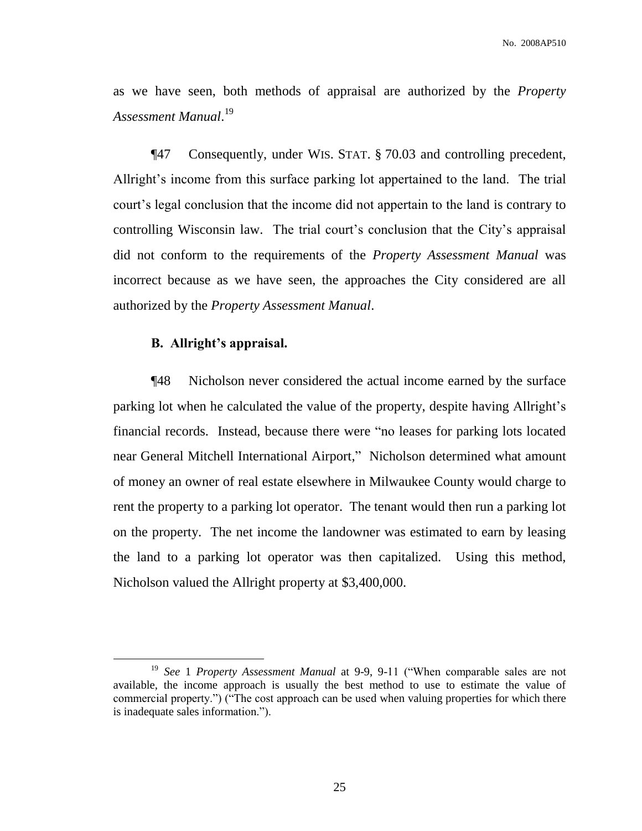as we have seen, both methods of appraisal are authorized by the *Property Assessment Manual*. 19

¶47 Consequently, under WIS. STAT. § 70.03 and controlling precedent, Allright's income from this surface parking lot appertained to the land. The trial court's legal conclusion that the income did not appertain to the land is contrary to controlling Wisconsin law. The trial court's conclusion that the City's appraisal did not conform to the requirements of the *Property Assessment Manual* was incorrect because as we have seen, the approaches the City considered are all authorized by the *Property Assessment Manual*.

## **B. Allright's appraisal.**

 $\overline{a}$ 

¶48 Nicholson never considered the actual income earned by the surface parking lot when he calculated the value of the property, despite having Allright's financial records. Instead, because there were "no leases for parking lots located near General Mitchell International Airport," Nicholson determined what amount of money an owner of real estate elsewhere in Milwaukee County would charge to rent the property to a parking lot operator. The tenant would then run a parking lot on the property. The net income the landowner was estimated to earn by leasing the land to a parking lot operator was then capitalized. Using this method, Nicholson valued the Allright property at \$3,400,000.

<sup>&</sup>lt;sup>19</sup> See 1 *Property Assessment Manual* at 9-9, 9-11 ("When comparable sales are not available, the income approach is usually the best method to use to estimate the value of commercial property.") ("The cost approach can be used when valuing properties for which there is inadequate sales information.").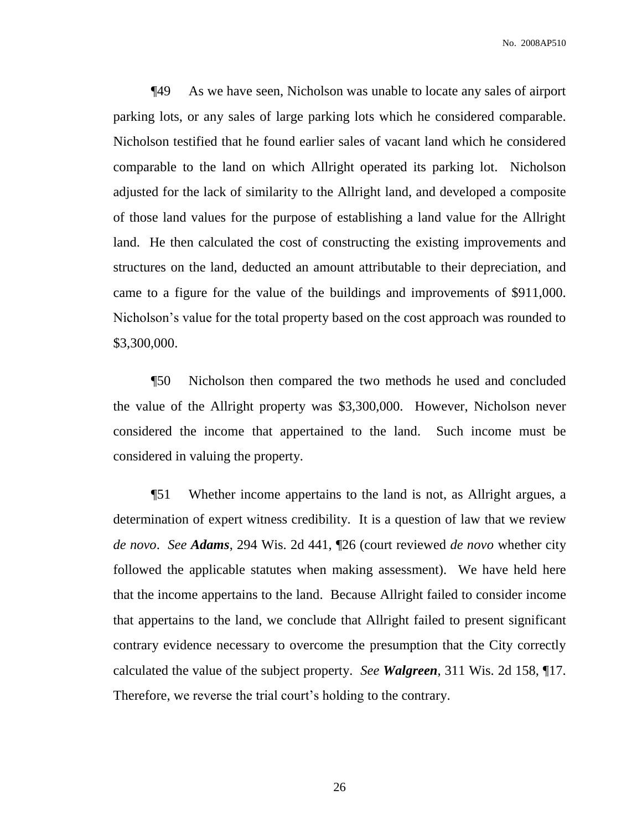¶49 As we have seen, Nicholson was unable to locate any sales of airport parking lots, or any sales of large parking lots which he considered comparable. Nicholson testified that he found earlier sales of vacant land which he considered comparable to the land on which Allright operated its parking lot. Nicholson adjusted for the lack of similarity to the Allright land, and developed a composite of those land values for the purpose of establishing a land value for the Allright land. He then calculated the cost of constructing the existing improvements and structures on the land, deducted an amount attributable to their depreciation, and came to a figure for the value of the buildings and improvements of \$911,000. Nicholson's value for the total property based on the cost approach was rounded to \$3,300,000.

¶50 Nicholson then compared the two methods he used and concluded the value of the Allright property was \$3,300,000. However, Nicholson never considered the income that appertained to the land. Such income must be considered in valuing the property.

¶51 Whether income appertains to the land is not, as Allright argues, a determination of expert witness credibility. It is a question of law that we review *de novo*. *See Adams*, 294 Wis. 2d 441, ¶26 (court reviewed *de novo* whether city followed the applicable statutes when making assessment). We have held here that the income appertains to the land. Because Allright failed to consider income that appertains to the land, we conclude that Allright failed to present significant contrary evidence necessary to overcome the presumption that the City correctly calculated the value of the subject property. *See Walgreen*, 311 Wis. 2d 158, ¶17. Therefore, we reverse the trial court's holding to the contrary.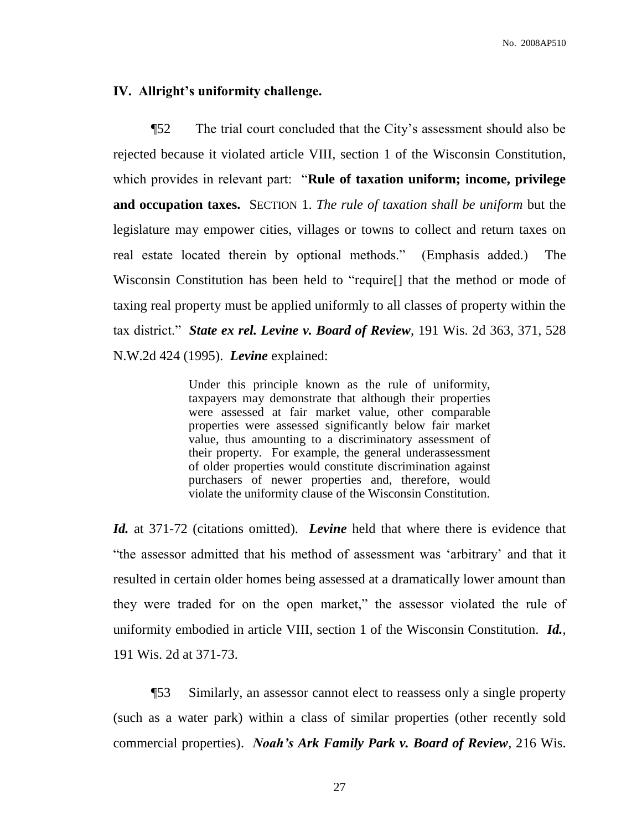#### **IV. Allright's uniformity challenge.**

¶52 The trial court concluded that the City's assessment should also be rejected because it violated article VIII, section 1 of the Wisconsin Constitution, which provides in relevant part: "**Rule of taxation uniform; income, privilege and occupation taxes.** SECTION 1. *The rule of taxation shall be uniform* but the legislature may empower cities, villages or towns to collect and return taxes on real estate located therein by optional methods." (Emphasis added.) The Wisconsin Constitution has been held to "require[] that the method or mode of taxing real property must be applied uniformly to all classes of property within the tax district." *State ex rel. Levine v. Board of Review*, 191 Wis. 2d 363, 371, 528 N.W.2d 424 (1995). *Levine* explained:

> Under this principle known as the rule of uniformity, taxpayers may demonstrate that although their properties were assessed at fair market value, other comparable properties were assessed significantly below fair market value, thus amounting to a discriminatory assessment of their property. For example, the general underassessment of older properties would constitute discrimination against purchasers of newer properties and, therefore, would violate the uniformity clause of the Wisconsin Constitution.

*Id.* at 371-72 (citations omitted). *Levine* held that where there is evidence that "the assessor admitted that his method of assessment was 'arbitrary' and that it resulted in certain older homes being assessed at a dramatically lower amount than they were traded for on the open market," the assessor violated the rule of uniformity embodied in article VIII, section 1 of the Wisconsin Constitution. *Id.*, 191 Wis. 2d at 371-73.

¶53 Similarly, an assessor cannot elect to reassess only a single property (such as a water park) within a class of similar properties (other recently sold commercial properties). *Noah's Ark Family Park v. Board of Review*, 216 Wis.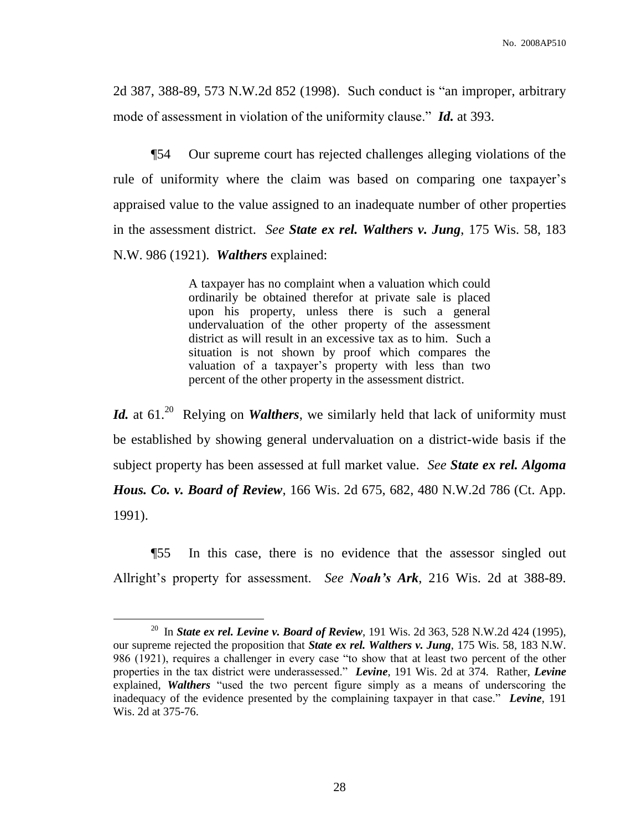2d 387, 388-89, 573 N.W.2d 852 (1998). Such conduct is "an improper, arbitrary mode of assessment in violation of the uniformity clause." *Id.* at 393.

¶54 Our supreme court has rejected challenges alleging violations of the rule of uniformity where the claim was based on comparing one taxpayer's appraised value to the value assigned to an inadequate number of other properties in the assessment district. *See State ex rel. Walthers v. Jung*, 175 Wis. 58, 183 N.W. 986 (1921). *Walthers* explained:

> A taxpayer has no complaint when a valuation which could ordinarily be obtained therefor at private sale is placed upon his property, unless there is such a general undervaluation of the other property of the assessment district as will result in an excessive tax as to him. Such a situation is not shown by proof which compares the valuation of a taxpayer's property with less than two percent of the other property in the assessment district.

Id. at 61.<sup>20</sup> Relying on *Walthers*, we similarly held that lack of uniformity must be established by showing general undervaluation on a district-wide basis if the subject property has been assessed at full market value. *See State ex rel. Algoma Hous. Co. v. Board of Review*, 166 Wis. 2d 675, 682, 480 N.W.2d 786 (Ct. App. 1991).

¶55 In this case, there is no evidence that the assessor singled out Allright's property for assessment. *See Noah's Ark*, 216 Wis. 2d at 388-89.

<sup>20</sup> In *State ex rel. Levine v. Board of Review*, 191 Wis. 2d 363, 528 N.W.2d 424 (1995), our supreme rejected the proposition that *State ex rel. Walthers v. Jung*, 175 Wis. 58, 183 N.W. 986 (1921), requires a challenger in every case "to show that at least two percent of the other properties in the tax district were underassessed." *Levine*, 191 Wis. 2d at 374. Rather, *Levine* explained, *Walthers* "used the two percent figure simply as a means of underscoring the inadequacy of the evidence presented by the complaining taxpayer in that case." *Levine*, 191 Wis. 2d at 375-76.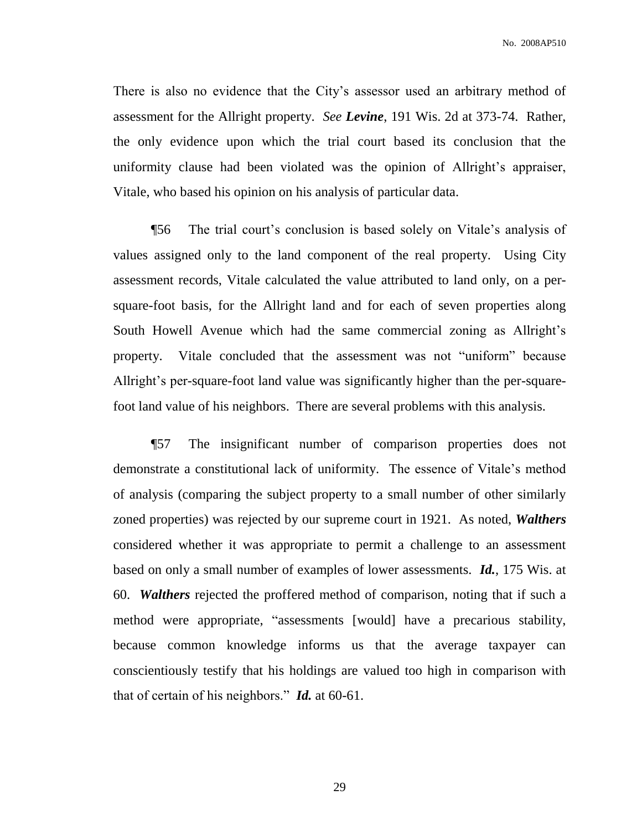There is also no evidence that the City's assessor used an arbitrary method of assessment for the Allright property. *See Levine*, 191 Wis. 2d at 373-74. Rather, the only evidence upon which the trial court based its conclusion that the uniformity clause had been violated was the opinion of Allright's appraiser, Vitale, who based his opinion on his analysis of particular data.

¶56 The trial court's conclusion is based solely on Vitale's analysis of values assigned only to the land component of the real property. Using City assessment records, Vitale calculated the value attributed to land only, on a persquare-foot basis, for the Allright land and for each of seven properties along South Howell Avenue which had the same commercial zoning as Allright's property. Vitale concluded that the assessment was not "uniform" because Allright's per-square-foot land value was significantly higher than the per-squarefoot land value of his neighbors. There are several problems with this analysis.

¶57 The insignificant number of comparison properties does not demonstrate a constitutional lack of uniformity. The essence of Vitale's method of analysis (comparing the subject property to a small number of other similarly zoned properties) was rejected by our supreme court in 1921. As noted, *Walthers* considered whether it was appropriate to permit a challenge to an assessment based on only a small number of examples of lower assessments. *Id.*, 175 Wis. at 60. *Walthers* rejected the proffered method of comparison, noting that if such a method were appropriate, "assessments [would] have a precarious stability, because common knowledge informs us that the average taxpayer can conscientiously testify that his holdings are valued too high in comparison with that of certain of his neighbors." *Id.* at 60-61.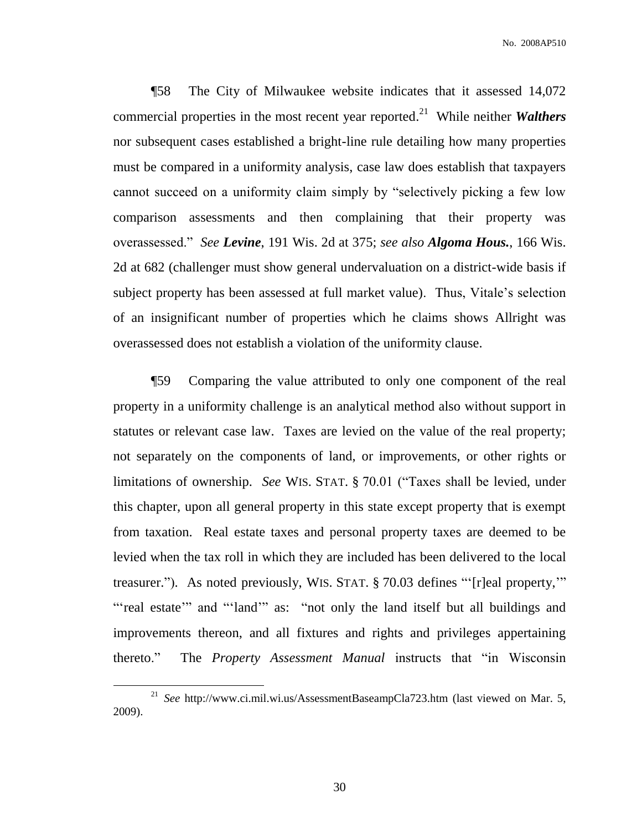¶58 The City of Milwaukee website indicates that it assessed 14,072 commercial properties in the most recent year reported. 21 While neither *Walthers*  nor subsequent cases established a bright-line rule detailing how many properties must be compared in a uniformity analysis, case law does establish that taxpayers cannot succeed on a uniformity claim simply by "selectively picking a few low comparison assessments and then complaining that their property was overassessed." *See Levine*, 191 Wis. 2d at 375; *see also Algoma Hous.*, 166 Wis. 2d at 682 (challenger must show general undervaluation on a district-wide basis if subject property has been assessed at full market value). Thus, Vitale's selection of an insignificant number of properties which he claims shows Allright was overassessed does not establish a violation of the uniformity clause.

¶59 Comparing the value attributed to only one component of the real property in a uniformity challenge is an analytical method also without support in statutes or relevant case law. Taxes are levied on the value of the real property; not separately on the components of land, or improvements, or other rights or limitations of ownership. *See* WIS. STAT. § 70.01 ("Taxes shall be levied, under this chapter, upon all general property in this state except property that is exempt from taxation. Real estate taxes and personal property taxes are deemed to be levied when the tax roll in which they are included has been delivered to the local treasurer."). As noted previously, WIS. STAT. § 70.03 defines "'[r]eal property,'" "'real estate'" and "'land'" as: "not only the land itself but all buildings and improvements thereon, and all fixtures and rights and privileges appertaining thereto." The *Property Assessment Manual* instructs that "in Wisconsin

<sup>21</sup> *See* http://www.ci.mil.wi.us/AssessmentBaseampCla723.htm (last viewed on Mar. 5, 2009).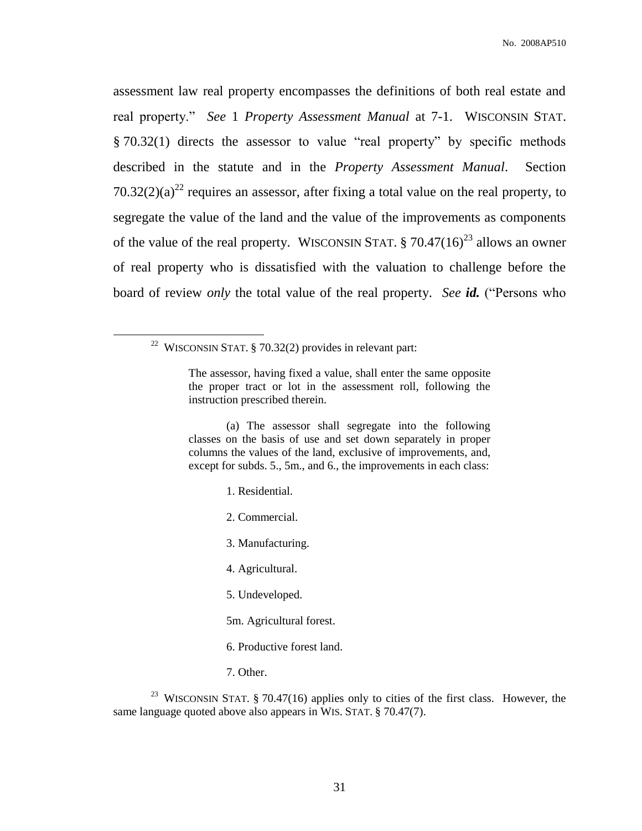assessment law real property encompasses the definitions of both real estate and real property." *See* 1 *Property Assessment Manual* at 7-1. WISCONSIN STAT. § 70.32(1) directs the assessor to value "real property" by specific methods described in the statute and in the *Property Assessment Manual*. Section 70.32(2)(a)<sup>22</sup> requires an assessor, after fixing a total value on the real property, to segregate the value of the land and the value of the improvements as components of the value of the real property. WISCONSIN STAT.  $\S 70.47(16)^{23}$  allows an owner of real property who is dissatisfied with the valuation to challenge before the board of review *only* the total value of the real property. *See id.* ("Persons who

 $\overline{a}$ 

(a) The assessor shall segregate into the following classes on the basis of use and set down separately in proper columns the values of the land, exclusive of improvements, and, except for subds. 5., 5m., and 6., the improvements in each class:

- 1. Residential.
- 2. Commercial.
- 3. Manufacturing.
- 4. Agricultural.
- 5. Undeveloped.
- 5m. Agricultural forest.
- 6. Productive forest land.
- 7. Other.

<sup>23</sup> WISCONSIN STAT. § 70.47(16) applies only to cities of the first class. However, the same language quoted above also appears in WIS. STAT. § 70.47(7).

<sup>&</sup>lt;sup>22</sup> WISCONSIN STAT. § 70.32(2) provides in relevant part:

The assessor, having fixed a value, shall enter the same opposite the proper tract or lot in the assessment roll, following the instruction prescribed therein.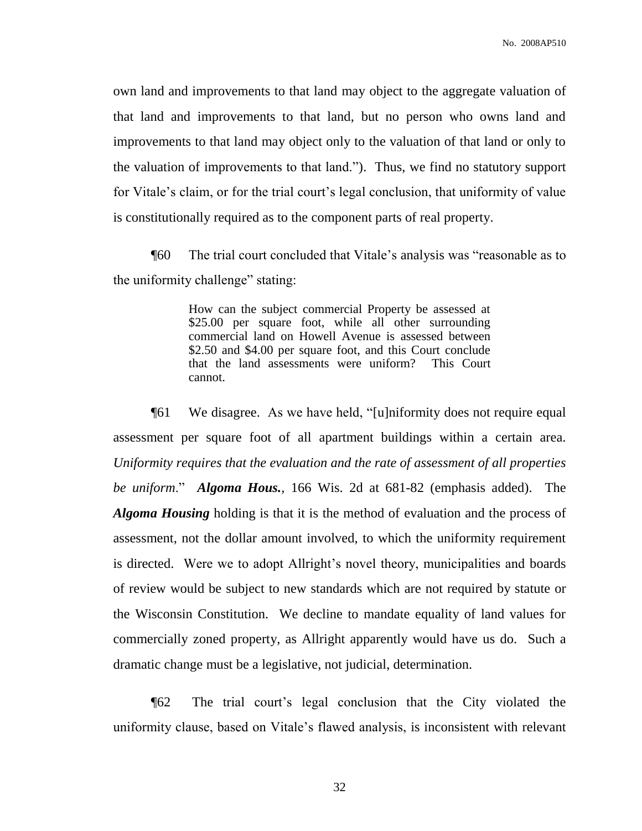own land and improvements to that land may object to the aggregate valuation of that land and improvements to that land, but no person who owns land and improvements to that land may object only to the valuation of that land or only to the valuation of improvements to that land."). Thus, we find no statutory support for Vitale's claim, or for the trial court's legal conclusion, that uniformity of value is constitutionally required as to the component parts of real property.

¶60 The trial court concluded that Vitale's analysis was "reasonable as to the uniformity challenge" stating:

> How can the subject commercial Property be assessed at \$25.00 per square foot, while all other surrounding commercial land on Howell Avenue is assessed between \$2.50 and \$4.00 per square foot, and this Court conclude that the land assessments were uniform? This Court cannot.

¶61 We disagree. As we have held, "[u]niformity does not require equal assessment per square foot of all apartment buildings within a certain area. *Uniformity requires that the evaluation and the rate of assessment of all properties be uniform*." *Algoma Hous.*, 166 Wis. 2d at 681-82 (emphasis added). The *Algoma Housing* holding is that it is the method of evaluation and the process of assessment, not the dollar amount involved, to which the uniformity requirement is directed. Were we to adopt Allright's novel theory, municipalities and boards of review would be subject to new standards which are not required by statute or the Wisconsin Constitution. We decline to mandate equality of land values for commercially zoned property, as Allright apparently would have us do. Such a dramatic change must be a legislative, not judicial, determination.

¶62 The trial court's legal conclusion that the City violated the uniformity clause, based on Vitale's flawed analysis, is inconsistent with relevant